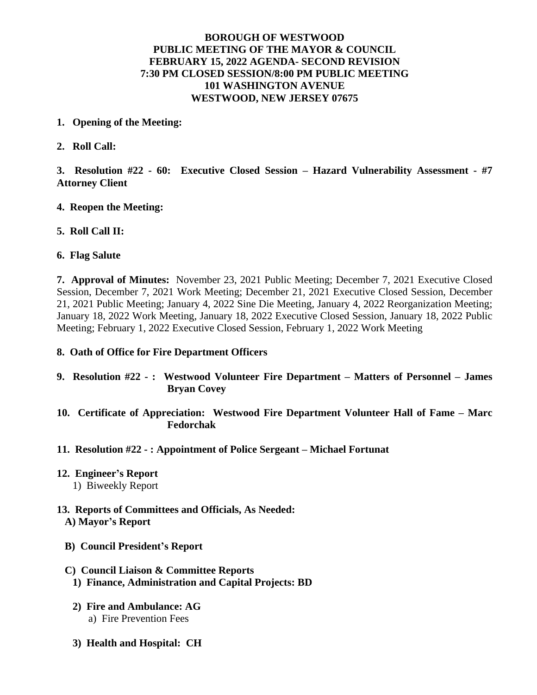## **BOROUGH OF WESTWOOD PUBLIC MEETING OF THE MAYOR & COUNCIL FEBRUARY 15, 2022 AGENDA- SECOND REVISION 7:30 PM CLOSED SESSION/8:00 PM PUBLIC MEETING 101 WASHINGTON AVENUE WESTWOOD, NEW JERSEY 07675**

- **1. Opening of the Meeting:**
- **2. Roll Call:**

**3. Resolution #22 - 60: Executive Closed Session – Hazard Vulnerability Assessment - #7 Attorney Client**

- **4. Reopen the Meeting:**
- **5. Roll Call II:**
- **6. Flag Salute**

**7. Approval of Minutes:** November 23, 2021 Public Meeting; December 7, 2021 Executive Closed Session, December 7, 2021 Work Meeting; December 21, 2021 Executive Closed Session, December 21, 2021 Public Meeting; January 4, 2022 Sine Die Meeting, January 4, 2022 Reorganization Meeting; January 18, 2022 Work Meeting, January 18, 2022 Executive Closed Session, January 18, 2022 Public Meeting; February 1, 2022 Executive Closed Session, February 1, 2022 Work Meeting

## **8. Oath of Office for Fire Department Officers**

- **9. Resolution #22 - : Westwood Volunteer Fire Department – Matters of Personnel – James Bryan Covey**
- **10. Certificate of Appreciation: Westwood Fire Department Volunteer Hall of Fame – Marc Fedorchak**
- **11. Resolution #22 : Appointment of Police Sergeant – Michael Fortunat**
- **12. Engineer's Report**
	- 1) Biweekly Report
- **13. Reports of Committees and Officials, As Needed: A) Mayor's Report**
	- **B) Council President's Report**
	- **C) Council Liaison & Committee Reports 1) Finance, Administration and Capital Projects: BD**
		- **2) Fire and Ambulance: AG** a) Fire Prevention Fees
		- **3) Health and Hospital: CH**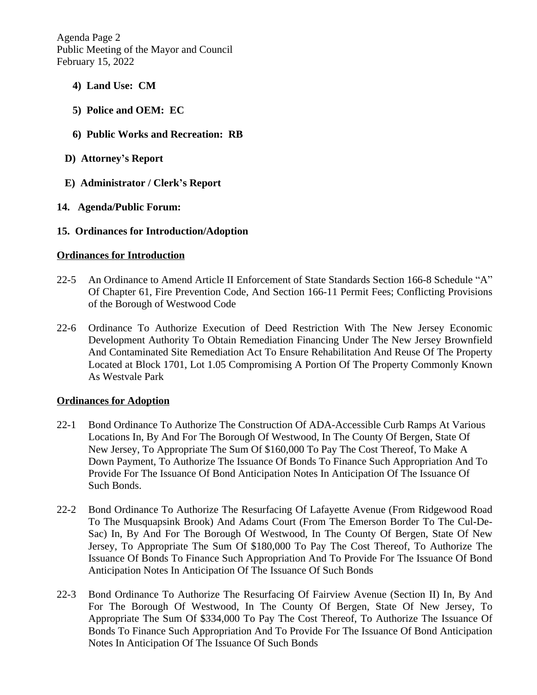Agenda Page 2 Public Meeting of the Mayor and Council February 15, 2022

- **4) Land Use: CM**
- **5) Police and OEM: EC**
- **6) Public Works and Recreation: RB**
- **D) Attorney's Report**
- **E) Administrator / Clerk's Report**
- **14. Agenda/Public Forum:**
- **15. Ordinances for Introduction/Adoption**

### **Ordinances for Introduction**

- 22-5 An Ordinance to Amend Article II Enforcement of State Standards Section 166-8 Schedule "A" Of Chapter 61, Fire Prevention Code, And Section 166-11 Permit Fees; Conflicting Provisions of the Borough of Westwood Code
- 22-6 Ordinance To Authorize Execution of Deed Restriction With The New Jersey Economic Development Authority To Obtain Remediation Financing Under The New Jersey Brownfield And Contaminated Site Remediation Act To Ensure Rehabilitation And Reuse Of The Property Located at Block 1701, Lot 1.05 Compromising A Portion Of The Property Commonly Known As Westvale Park

#### **Ordinances for Adoption**

- 22-1 Bond Ordinance To Authorize The Construction Of ADA-Accessible Curb Ramps At Various Locations In, By And For The Borough Of Westwood, In The County Of Bergen, State Of New Jersey, To Appropriate The Sum Of \$160,000 To Pay The Cost Thereof, To Make A Down Payment, To Authorize The Issuance Of Bonds To Finance Such Appropriation And To Provide For The Issuance Of Bond Anticipation Notes In Anticipation Of The Issuance Of Such Bonds.
- 22-2 Bond Ordinance To Authorize The Resurfacing Of Lafayette Avenue (From Ridgewood Road To The Musquapsink Brook) And Adams Court (From The Emerson Border To The Cul-De-Sac) In, By And For The Borough Of Westwood, In The County Of Bergen, State Of New Jersey, To Appropriate The Sum Of \$180,000 To Pay The Cost Thereof, To Authorize The Issuance Of Bonds To Finance Such Appropriation And To Provide For The Issuance Of Bond Anticipation Notes In Anticipation Of The Issuance Of Such Bonds
- 22-3 Bond Ordinance To Authorize The Resurfacing Of Fairview Avenue (Section II) In, By And For The Borough Of Westwood, In The County Of Bergen, State Of New Jersey, To Appropriate The Sum Of \$334,000 To Pay The Cost Thereof, To Authorize The Issuance Of Bonds To Finance Such Appropriation And To Provide For The Issuance Of Bond Anticipation Notes In Anticipation Of The Issuance Of Such Bonds